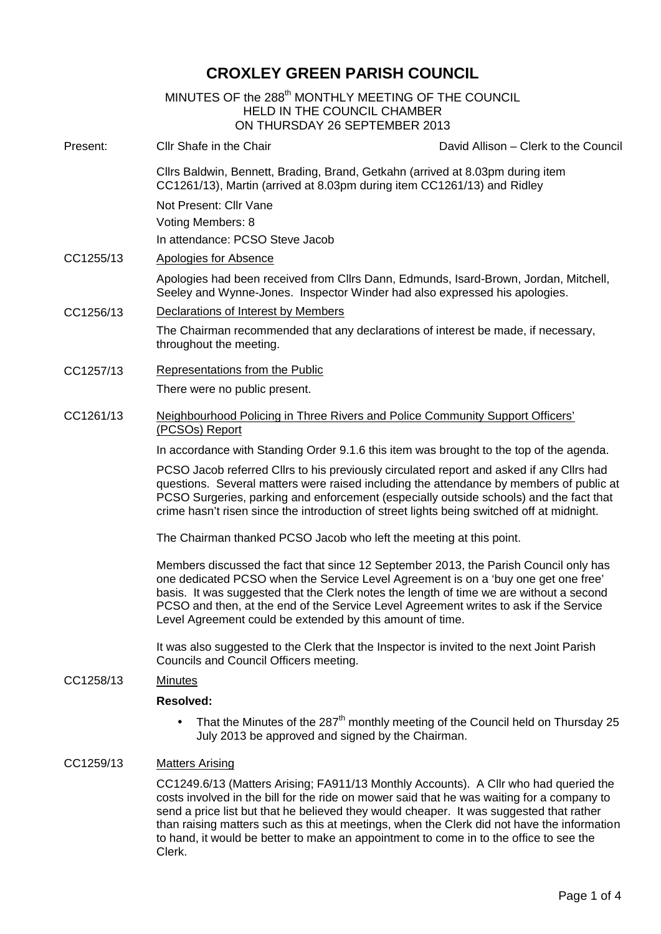# **CROXLEY GREEN PARISH COUNCIL**

|           | MINUTES OF the 288 <sup>th</sup> MONTHLY MEETING OF THE COUNCIL<br><b>HELD IN THE COUNCIL CHAMBER</b><br>ON THURSDAY 26 SEPTEMBER 2013                                                                                                                                                                                                                                                                                      |
|-----------|-----------------------------------------------------------------------------------------------------------------------------------------------------------------------------------------------------------------------------------------------------------------------------------------------------------------------------------------------------------------------------------------------------------------------------|
| Present:  | Cllr Shafe in the Chair<br>David Allison - Clerk to the Council                                                                                                                                                                                                                                                                                                                                                             |
|           | Cllrs Baldwin, Bennett, Brading, Brand, Getkahn (arrived at 8.03pm during item<br>CC1261/13), Martin (arrived at 8.03pm during item CC1261/13) and Ridley<br>Not Present: Cllr Vane<br>Voting Members: 8<br>In attendance: PCSO Steve Jacob                                                                                                                                                                                 |
| CC1255/13 | <b>Apologies for Absence</b>                                                                                                                                                                                                                                                                                                                                                                                                |
|           | Apologies had been received from Cllrs Dann, Edmunds, Isard-Brown, Jordan, Mitchell,<br>Seeley and Wynne-Jones. Inspector Winder had also expressed his apologies.                                                                                                                                                                                                                                                          |
| CC1256/13 | Declarations of Interest by Members                                                                                                                                                                                                                                                                                                                                                                                         |
|           | The Chairman recommended that any declarations of interest be made, if necessary,<br>throughout the meeting.                                                                                                                                                                                                                                                                                                                |
| CC1257/13 | Representations from the Public                                                                                                                                                                                                                                                                                                                                                                                             |
|           | There were no public present.                                                                                                                                                                                                                                                                                                                                                                                               |
| CC1261/13 | <b>Neighbourhood Policing in Three Rivers and Police Community Support Officers'</b><br>(PCSOs) Report                                                                                                                                                                                                                                                                                                                      |
|           | In accordance with Standing Order 9.1.6 this item was brought to the top of the agenda.                                                                                                                                                                                                                                                                                                                                     |
|           | PCSO Jacob referred Cllrs to his previously circulated report and asked if any Cllrs had<br>questions. Several matters were raised including the attendance by members of public at<br>PCSO Surgeries, parking and enforcement (especially outside schools) and the fact that<br>crime hasn't risen since the introduction of street lights being switched off at midnight.                                                 |
|           | The Chairman thanked PCSO Jacob who left the meeting at this point.                                                                                                                                                                                                                                                                                                                                                         |
|           | Members discussed the fact that since 12 September 2013, the Parish Council only has<br>one dedicated PCSO when the Service Level Agreement is on a 'buy one get one free'<br>basis. It was suggested that the Clerk notes the length of time we are without a second<br>PCSO and then, at the end of the Service Level Agreement writes to ask if the Service<br>Level Agreement could be extended by this amount of time. |
|           | It was also suggested to the Clerk that the Inspector is invited to the next Joint Parish<br>Councils and Council Officers meeting.                                                                                                                                                                                                                                                                                         |
| CC1258/13 | <b>Minutes</b>                                                                                                                                                                                                                                                                                                                                                                                                              |
|           | <b>Resolved:</b>                                                                                                                                                                                                                                                                                                                                                                                                            |
|           | That the Minutes of the 287 <sup>th</sup> monthly meeting of the Council held on Thursday 25<br>July 2013 be approved and signed by the Chairman.                                                                                                                                                                                                                                                                           |
| CC1259/13 | <b>Matters Arising</b>                                                                                                                                                                                                                                                                                                                                                                                                      |
|           | CC1249.6/13 (Matters Arising; FA911/13 Monthly Accounts). A Cllr who had queried the<br>costs involved in the bill for the ride on mower said that he was waiting for a company to<br>send a price list but that he believed they would cheaper. It was suggested that rather<br>than raising matters such as this at meetings, when the Clerk did not have the information                                                 |

to hand, it would be better to make an appointment to come in to the office to see the

Clerk.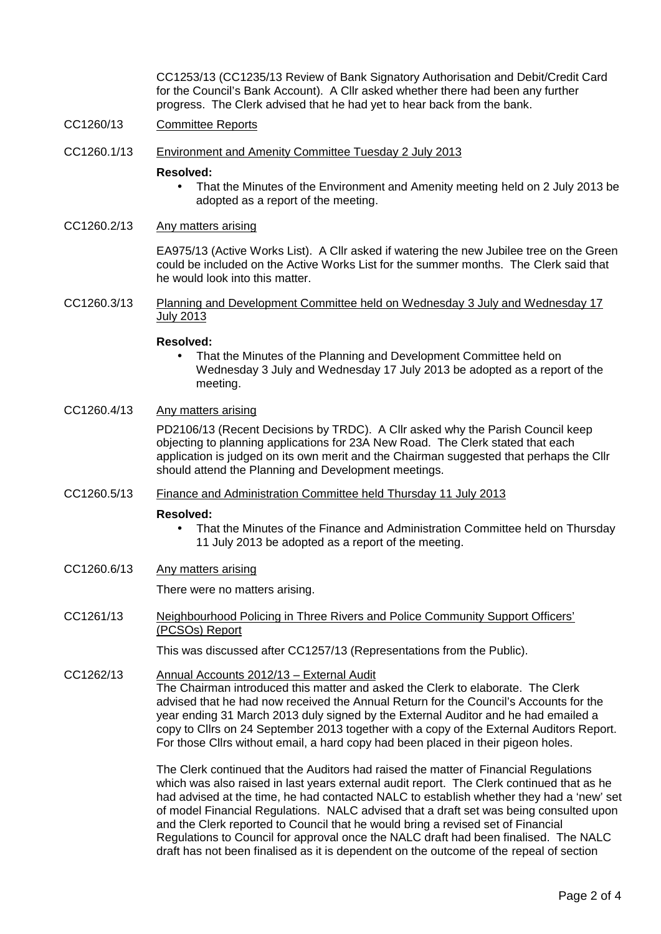CC1253/13 (CC1235/13 Review of Bank Signatory Authorisation and Debit/Credit Card for the Council's Bank Account). A Cllr asked whether there had been any further progress. The Clerk advised that he had yet to hear back from the bank.

- CC1260/13 Committee Reports
- CC1260.1/13 Environment and Amenity Committee Tuesday 2 July 2013

#### **Resolved:**

- That the Minutes of the Environment and Amenity meeting held on 2 July 2013 be adopted as a report of the meeting.
- CC1260.2/13 Any matters arising

EA975/13 (Active Works List). A Cllr asked if watering the new Jubilee tree on the Green could be included on the Active Works List for the summer months. The Clerk said that he would look into this matter.

CC1260.3/13 Planning and Development Committee held on Wednesday 3 July and Wednesday 17 July 2013

#### **Resolved:**

- That the Minutes of the Planning and Development Committee held on Wednesday 3 July and Wednesday 17 July 2013 be adopted as a report of the meeting.
- CC1260.4/13 Any matters arising

PD2106/13 (Recent Decisions by TRDC). A Cllr asked why the Parish Council keep objecting to planning applications for 23A New Road. The Clerk stated that each application is judged on its own merit and the Chairman suggested that perhaps the Cllr should attend the Planning and Development meetings.

CC1260.5/13 Finance and Administration Committee held Thursday 11 July 2013

#### **Resolved:**

- That the Minutes of the Finance and Administration Committee held on Thursday 11 July 2013 be adopted as a report of the meeting.
- CC1260.6/13 Any matters arising

There were no matters arising.

CC1261/13 Neighbourhood Policing in Three Rivers and Police Community Support Officers' (PCSOs) Report

This was discussed after CC1257/13 (Representations from the Public).

CC1262/13 Annual Accounts 2012/13 – External Audit The Chairman introduced this matter and asked the Clerk to elaborate. The Clerk advised that he had now received the Annual Return for the Council's Accounts for the year ending 31 March 2013 duly signed by the External Auditor and he had emailed a copy to Cllrs on 24 September 2013 together with a copy of the External Auditors Report. For those Cllrs without email, a hard copy had been placed in their pigeon holes.

> The Clerk continued that the Auditors had raised the matter of Financial Regulations which was also raised in last years external audit report. The Clerk continued that as he had advised at the time, he had contacted NALC to establish whether they had a 'new' set of model Financial Regulations. NALC advised that a draft set was being consulted upon and the Clerk reported to Council that he would bring a revised set of Financial Regulations to Council for approval once the NALC draft had been finalised. The NALC draft has not been finalised as it is dependent on the outcome of the repeal of section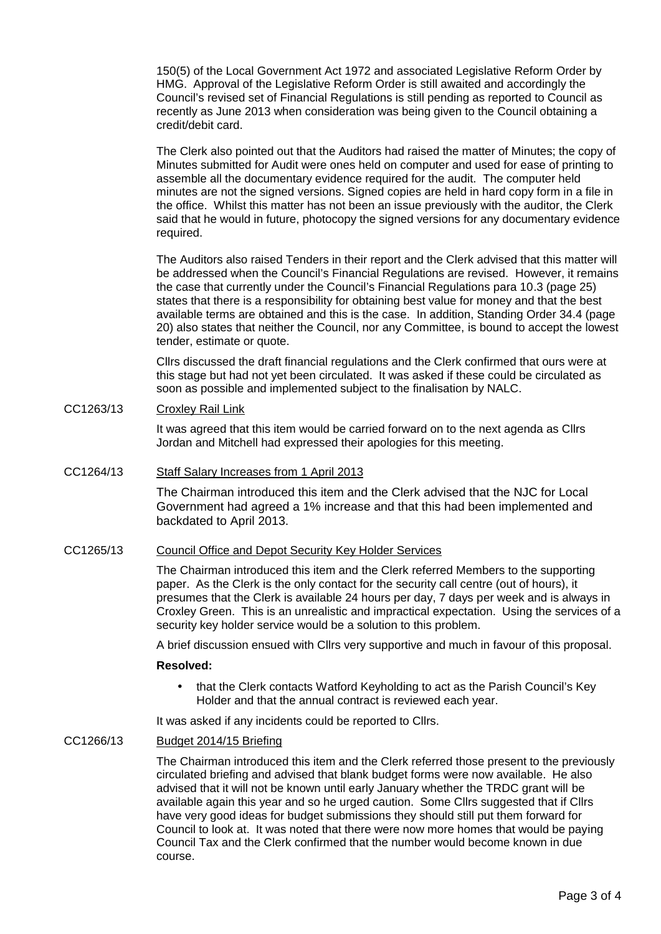150(5) of the Local Government Act 1972 and associated Legislative Reform Order by HMG. Approval of the Legislative Reform Order is still awaited and accordingly the Council's revised set of Financial Regulations is still pending as reported to Council as recently as June 2013 when consideration was being given to the Council obtaining a credit/debit card.

The Clerk also pointed out that the Auditors had raised the matter of Minutes; the copy of Minutes submitted for Audit were ones held on computer and used for ease of printing to assemble all the documentary evidence required for the audit. The computer held minutes are not the signed versions. Signed copies are held in hard copy form in a file in the office. Whilst this matter has not been an issue previously with the auditor, the Clerk said that he would in future, photocopy the signed versions for any documentary evidence required.

The Auditors also raised Tenders in their report and the Clerk advised that this matter will be addressed when the Council's Financial Regulations are revised. However, it remains the case that currently under the Council's Financial Regulations para 10.3 (page 25) states that there is a responsibility for obtaining best value for money and that the best available terms are obtained and this is the case. In addition, Standing Order 34.4 (page 20) also states that neither the Council, nor any Committee, is bound to accept the lowest tender, estimate or quote.

Cllrs discussed the draft financial regulations and the Clerk confirmed that ours were at this stage but had not yet been circulated. It was asked if these could be circulated as soon as possible and implemented subject to the finalisation by NALC.

CC1263/13 Croxley Rail Link

It was agreed that this item would be carried forward on to the next agenda as Cllrs Jordan and Mitchell had expressed their apologies for this meeting.

## CC1264/13 Staff Salary Increases from 1 April 2013

The Chairman introduced this item and the Clerk advised that the NJC for Local Government had agreed a 1% increase and that this had been implemented and backdated to April 2013.

## CC1265/13 Council Office and Depot Security Key Holder Services

The Chairman introduced this item and the Clerk referred Members to the supporting paper. As the Clerk is the only contact for the security call centre (out of hours), it presumes that the Clerk is available 24 hours per day, 7 days per week and is always in Croxley Green. This is an unrealistic and impractical expectation. Using the services of a security key holder service would be a solution to this problem.

A brief discussion ensued with Cllrs very supportive and much in favour of this proposal.

### **Resolved:**

 that the Clerk contacts Watford Keyholding to act as the Parish Council's Key Holder and that the annual contract is reviewed each year.

It was asked if any incidents could be reported to Cllrs.

## CC1266/13 Budget 2014/15 Briefing

The Chairman introduced this item and the Clerk referred those present to the previously circulated briefing and advised that blank budget forms were now available. He also advised that it will not be known until early January whether the TRDC grant will be available again this year and so he urged caution. Some Cllrs suggested that if Cllrs have very good ideas for budget submissions they should still put them forward for Council to look at. It was noted that there were now more homes that would be paying Council Tax and the Clerk confirmed that the number would become known in due course.